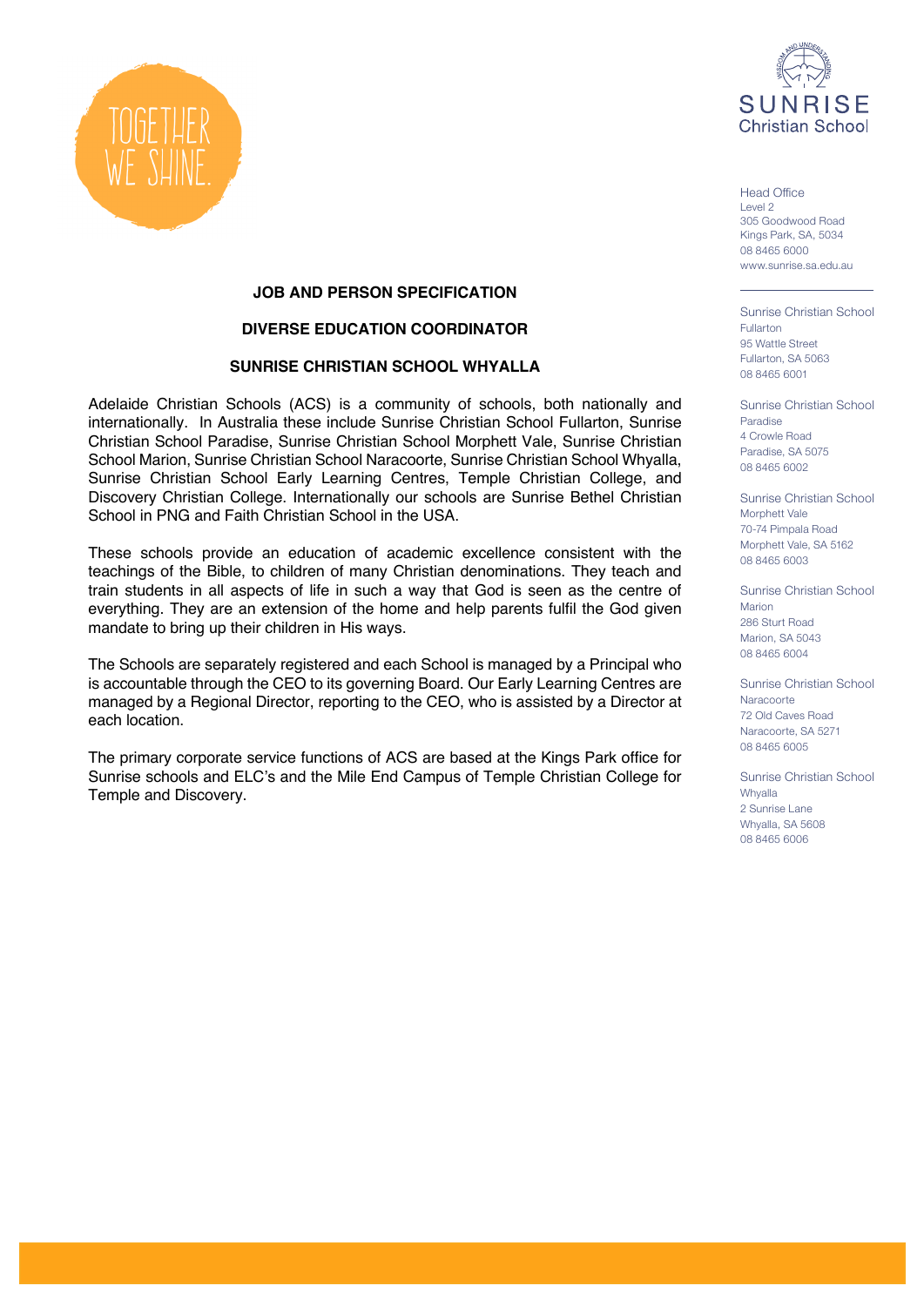

Head Office Level 2 305 Goodwood Road Kings Park, SA, 5034 08 8465 6000 www.sunrise.sa.edu.au

Sunrise Christian School Fullarton 95 Wattle Street Fullarton, SA 5063 08 8465 6001

Sunrise Christian School Paradise 4 Crowle Road Paradise, SA 5075 08 8465 6002

Sunrise Christian School Morphett Vale 70-74 Pimpala Road Morphett Vale, SA 5162 08 8465 6003

Sunrise Christian School Marion 286 Sturt Road Marion, SA 5043 08 8465 6004

Sunrise Christian School Naracoorte 72 Old Caves Road Naracoorte, SA 5271 08 8465 6005

Sunrise Christian School Whyalla 2 Sunrise Lane Whyalla, SA 5608 08 8465 6006



# **JOB AND PERSON SPECIFICATION**

### **DIVERSE EDUCATION COORDINATOR**

# **SUNRISE CHRISTIAN SCHOOL WHYALLA**

Adelaide Christian Schools (ACS) is a community of schools, both nationally and internationally. In Australia these include Sunrise Christian School Fullarton, Sunrise Christian School Paradise, Sunrise Christian School Morphett Vale, Sunrise Christian School Marion, Sunrise Christian School Naracoorte, Sunrise Christian School Whyalla, Sunrise Christian School Early Learning Centres, Temple Christian College, and Discovery Christian College. Internationally our schools are Sunrise Bethel Christian School in PNG and Faith Christian School in the USA.

These schools provide an education of academic excellence consistent with the teachings of the Bible, to children of many Christian denominations. They teach and train students in all aspects of life in such a way that God is seen as the centre of everything. They are an extension of the home and help parents fulfil the God given mandate to bring up their children in His ways.

The Schools are separately registered and each School is managed by a Principal who is accountable through the CEO to its governing Board. Our Early Learning Centres are managed by a Regional Director, reporting to the CEO, who is assisted by a Director at each location.

The primary corporate service functions of ACS are based at the Kings Park office for Sunrise schools and ELC's and the Mile End Campus of Temple Christian College for Temple and Discovery.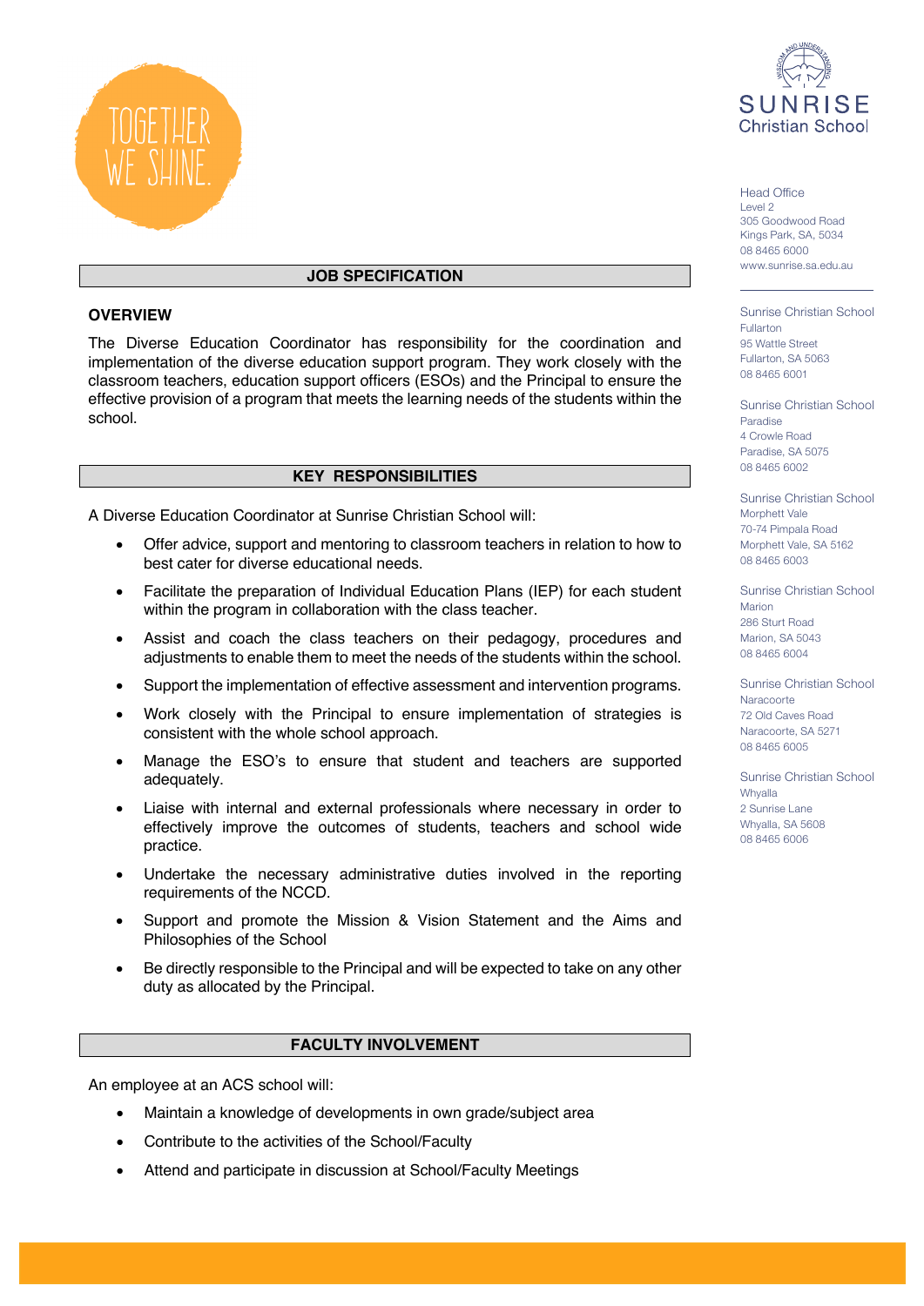

## **JOB SPECIFICATION**

### **OVERVIEW**

The Diverse Education Coordinator has responsibility for the coordination and implementation of the diverse education support program. They work closely with the classroom teachers, education support officers (ESOs) and the Principal to ensure the effective provision of a program that meets the learning needs of the students within the school.

## **KEY RESPONSIBILITIES**

A Diverse Education Coordinator at Sunrise Christian School will:

- Offer advice, support and mentoring to classroom teachers in relation to how to best cater for diverse educational needs.
- Facilitate the preparation of Individual Education Plans (IEP) for each student within the program in collaboration with the class teacher.
- Assist and coach the class teachers on their pedagogy, procedures and adjustments to enable them to meet the needs of the students within the school.
- Support the implementation of effective assessment and intervention programs.
- Work closely with the Principal to ensure implementation of strategies is consistent with the whole school approach.
- Manage the ESO's to ensure that student and teachers are supported adequately.
- Liaise with internal and external professionals where necessary in order to effectively improve the outcomes of students, teachers and school wide practice.
- Undertake the necessary administrative duties involved in the reporting requirements of the NCCD.
- Support and promote the Mission & Vision Statement and the Aims and Philosophies of the School
- Be directly responsible to the Principal and will be expected to take on any other duty as allocated by the Principal.

#### **FACULTY INVOLVEMENT**

An employee at an ACS school will:

- Maintain a knowledge of developments in own grade/subject area
- Contribute to the activities of the School/Faculty
- Attend and participate in discussion at School/Faculty Meetings



Head Office Level 2 305 Goodwood Road Kings Park, SA, 5034 08 8465 6000 www.sunrise.sa.edu.au

Sunrise Christian School Fullarton 95 Wattle Street Fullarton, SA 5063 08 8465 6001

Sunrise Christian School Paradise 4 Crowle Road Paradise, SA 5075 08 8465 6002

Sunrise Christian School Morphett Vale 70-74 Pimpala Road Morphett Vale, SA 5162 08 8465 6003

Sunrise Christian School Marion 286 Sturt Road Marion, SA 5043 08 8465 6004

Sunrise Christian School **Naracoorte** 72 Old Caves Road Naracoorte, SA 5271 08 8465 6005

Sunrise Christian School Whyalla 2 Sunrise Lane Whyalla, SA 5608 08 8465 6006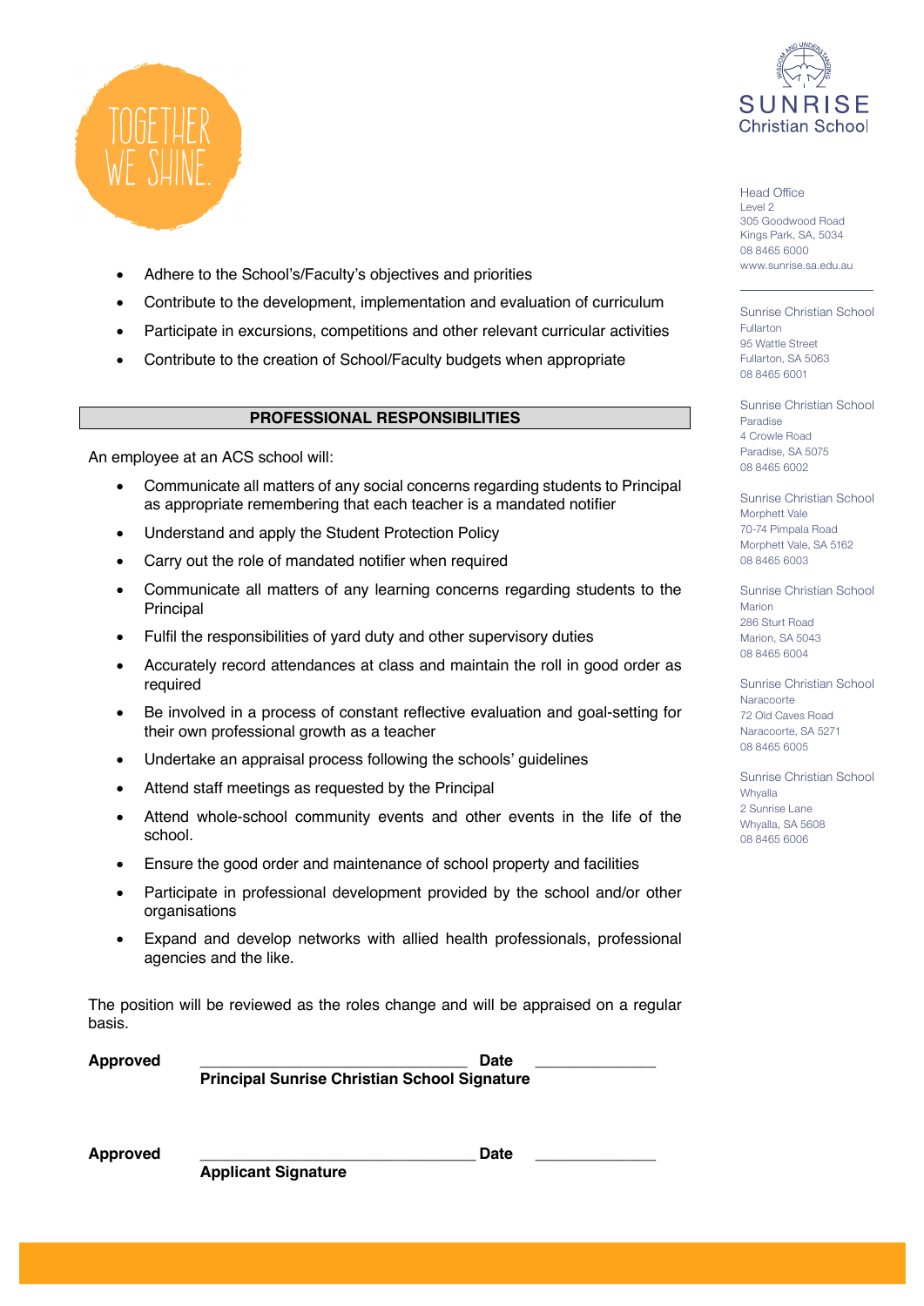

- Adhere to the School's/Faculty's objectives and priorities
- Contribute to the development, implementation and evaluation of curriculum
- Participate in excursions, competitions and other relevant curricular activities
- Contribute to the creation of School/Faculty budgets when appropriate

### **PROFESSIONAL RESPONSIBILITIES**

An employee at an ACS school will:

- Communicate all matters of any social concerns regarding students to Principal as appropriate remembering that each teacher is a mandated notifier
- Understand and apply the Student Protection Policy
- Carry out the role of mandated notifier when required
- Communicate all matters of any learning concerns regarding students to the Principal
- Fulfil the responsibilities of yard duty and other supervisory duties
- Accurately record attendances at class and maintain the roll in good order as required
- Be involved in a process of constant reflective evaluation and goal-setting for their own professional growth as a teacher
- Undertake an appraisal process following the schools' guidelines
- Attend staff meetings as requested by the Principal
- Attend whole-school community events and other events in the life of the school.
- Ensure the good order and maintenance of school property and facilities
- Participate in professional development provided by the school and/or other organisations
- Expand and develop networks with allied health professionals, professional agencies and the like.

The position will be reviewed as the roles change and will be appraised on a regular basis.

**Approved \_\_\_\_\_\_\_\_\_\_\_\_\_\_\_\_\_\_\_\_\_\_\_\_\_\_\_\_\_\_\_ Date \_\_\_\_\_\_\_\_\_\_\_\_\_\_ Principal Sunrise Christian School Signature**

| <b>Approved</b> |  |   |   |  | Date |
|-----------------|--|---|---|--|------|
|                 |  | . | . |  |      |



Head Office Level 2 305 Goodwood Road Kings Park, SA, 5034 08 8465 6000 www.sunrise.sa.edu.au

Sunrise Christian School Fullarton 95 Wattle Street Fullarton, SA 5063 08 8465 6001

Sunrise Christian School Paradise 4 Crowle Road Paradise, SA 5075 08 8465 6002

Sunrise Christian School Morphett Vale 70-74 Pimpala Road Morphett Vale, SA 5162 08 8465 6003

Sunrise Christian School Marion 286 Sturt Road Marion, SA 5043 08 8465 6004

Sunrise Christian School **Naracoorte** 72 Old Caves Road Naracoorte, SA 5271 08 8465 6005

Sunrise Christian School Whyalla 2 Sunrise Lane Whyalla, SA 5608 08 8465 6006

**Applicant Signature**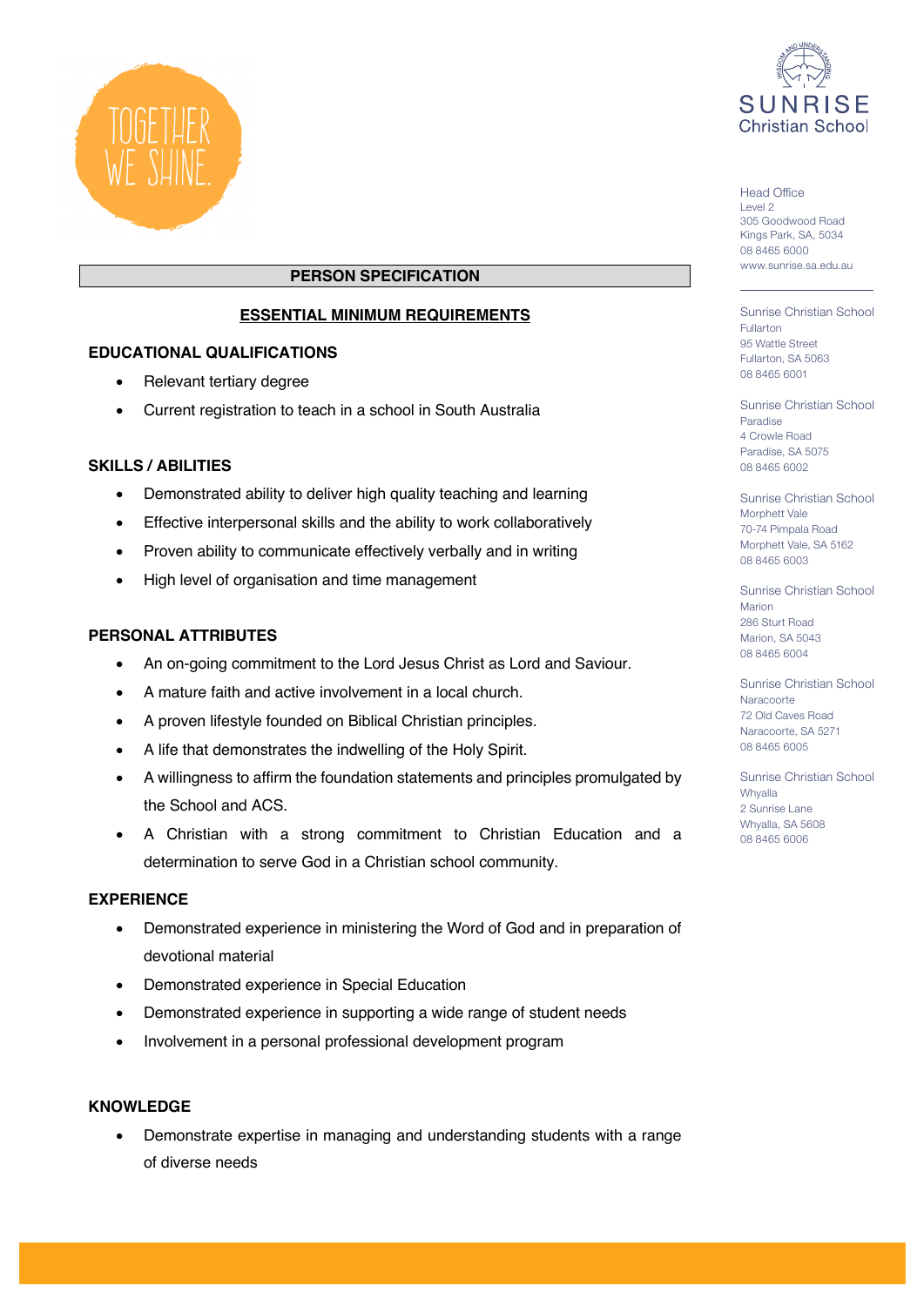



#### Head Office Level 2 305 Goodwood Road Kings Park, SA, 5034 08 8465 6000 www.sunrise.sa.edu.au

## **PERSON SPECIFICATION**

# **ESSENTIAL MINIMUM REQUIREMENTS**

#### **EDUCATIONAL QUALIFICATIONS**

- Relevant tertiary degree
- Current registration to teach in a school in South Australia

### **SKILLS / ABILITIES**

- Demonstrated ability to deliver high quality teaching and learning
- Effective interpersonal skills and the ability to work collaboratively
- Proven ability to communicate effectively verbally and in writing
- High level of organisation and time management

### **PERSONAL ATTRIBUTES**

- An on-going commitment to the Lord Jesus Christ as Lord and Saviour.
- A mature faith and active involvement in a local church.
- A proven lifestyle founded on Biblical Christian principles.
- A life that demonstrates the indwelling of the Holy Spirit.
- A willingness to affirm the foundation statements and principles promulgated by the School and ACS.
- A Christian with a strong commitment to Christian Education and a determination to serve God in a Christian school community.

#### **EXPERIENCE**

- Demonstrated experience in ministering the Word of God and in preparation of devotional material
- Demonstrated experience in Special Education
- Demonstrated experience in supporting a wide range of student needs
- Involvement in a personal professional development program

#### **KNOWLEDGE**

• Demonstrate expertise in managing and understanding students with a range of diverse needs

Sunrise Christian School Fullarton 95 Wattle Street Fullarton, SA 5063 08 8465 6001

Sunrise Christian School Paradise 4 Crowle Road Paradise, SA 5075 08 8465 6002

Sunrise Christian School Morphett Vale 70-74 Pimpala Road Morphett Vale, SA 5162 08 8465 6003

Sunrise Christian School Marion 286 Sturt Road Marion, SA 5043 08 8465 6004

Sunrise Christian School **Naracoorte** 72 Old Caves Road Naracoorte, SA 5271 08 8465 6005

Sunrise Christian School Whyalla 2 Sunrise Lane Whyalla, SA 5608 08 8465 6006